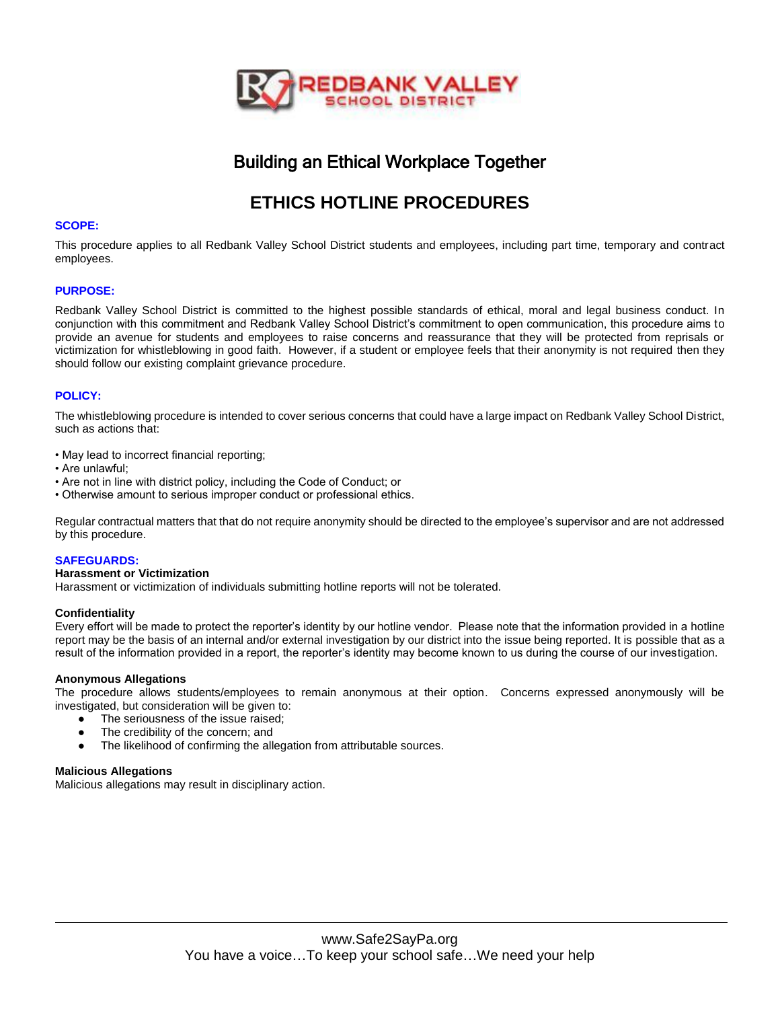

# Building an Ethical Workplace Together

# **ETHICS HOTLINE PROCEDURES**

# **SCOPE:**

This procedure applies to all Redbank Valley School District students and employees, including part time, temporary and contract employees.

# **PURPOSE:**

Redbank Valley School District is committed to the highest possible standards of ethical, moral and legal business conduct. In conjunction with this commitment and Redbank Valley School District's commitment to open communication, this procedure aims to provide an avenue for students and employees to raise concerns and reassurance that they will be protected from reprisals or victimization for whistleblowing in good faith. However, if a student or employee feels that their anonymity is not required then they should follow our existing complaint grievance procedure.

# **POLICY:**

The whistleblowing procedure is intended to cover serious concerns that could have a large impact on Redbank Valley School District, such as actions that:

- May lead to incorrect financial reporting;
- Are unlawful;
- Are not in line with district policy, including the Code of Conduct; or
- Otherwise amount to serious improper conduct or professional ethics.

Regular contractual matters that that do not require anonymity should be directed to the employee's supervisor and are not addressed by this procedure.

### **SAFEGUARDS:**

### **Harassment or Victimization**

Harassment or victimization of individuals submitting hotline reports will not be tolerated.

### **Confidentiality**

Every effort will be made to protect the reporter's identity by our hotline vendor. Please note that the information provided in a hotline report may be the basis of an internal and/or external investigation by our district into the issue being reported. It is possible that as a result of the information provided in a report, the reporter's identity may become known to us during the course of our investigation.

### **Anonymous Allegations**

The procedure allows students/employees to remain anonymous at their option. Concerns expressed anonymously will be investigated, but consideration will be given to:

- The seriousness of the issue raised;
- The credibility of the concern; and
- The likelihood of confirming the allegation from attributable sources.

## **Malicious Allegations**

Malicious allegations may result in disciplinary action.